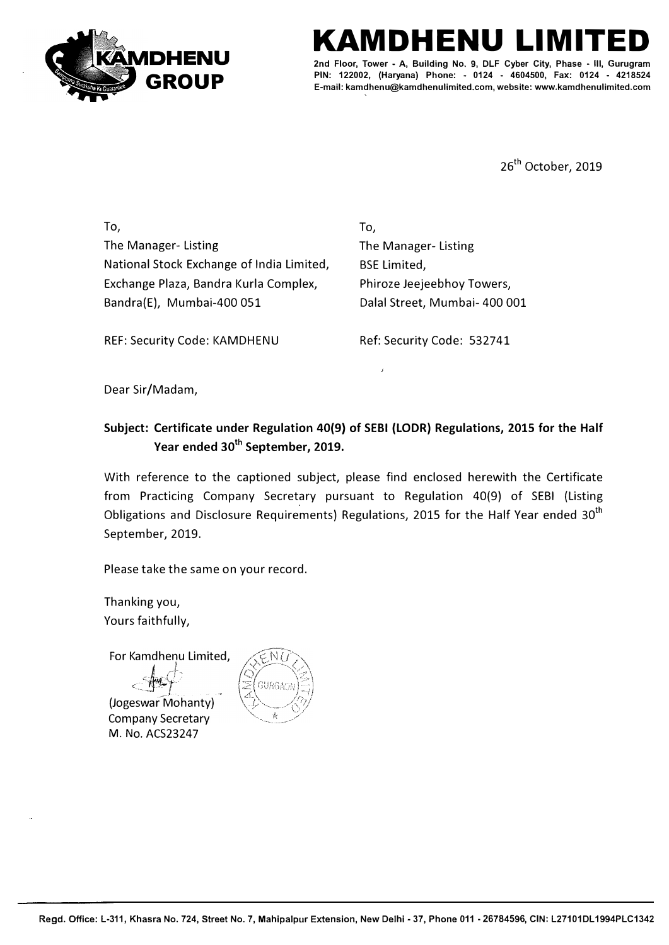

## **KAMDHENU LIMITED**

**2nd Floor, Tower - A, Building No. 9, DLF Cyber City, Phase - Ill, Gurugram PIN: 122002, (Haryana) Phone: - 0124 - 4604500, Fax: 0124 - 4218524 E-mail: kamdhenu@kamdhenulimited.com, website: www.kamdhenulimited.com**

26<sup>th</sup> October, 2019

To, The Manager- Listing National Stock Exchange of India Limited, Exchange Plaza, Bandra Kurla Complex, Bandra(E), Mumbai-400 051

To, The Manager- Listing BSE Limited, Phiroze Jeejeebhoy Towers, Dalal Street, Mumbai- 400 001

REF: Security Code: KAMDHENU Ref: Security Code: 532741

Dear Sir/Madam,

## **Subject: Certificate under Regulation 40(9) of SEBI (LODR} Regulations, 2015 for the Half Year ended 30th September, 2019.**

With reference to the captioned subject, please find enclosed herewith the Certificate from Practicing Company Secretary pursuant to Regulation 40(9) of SEBI (Listing Obligations and Disclosure Requirements) Regulations, 2015 for the Half Year ended  $30<sup>th</sup>$ September, 2019.

Please take the same on your record.

Thanking you, Yours faithfully,

For Kamdhenu Limited,

**J** / -/-'

ر المسير -<br>(Jogeswar Mohanty) Company Secretary M. No. ACS23247